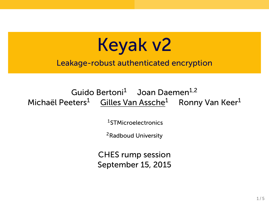

Leakage-robust authenticated encryption

## Guido Bertoni<sup>1</sup> Joan Daemen<sup>1,2</sup> Michaël Peeters<sup>1</sup> Gilles Van Assche<sup>1</sup> Ronny Van Keer<sup>1</sup>

<sup>1</sup>STMicroelectronics

<sup>2</sup>Radboud University

CHES rump session September 15, 2015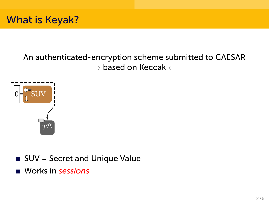



- SUV = Secret and Unique Value
- Works in *sessions*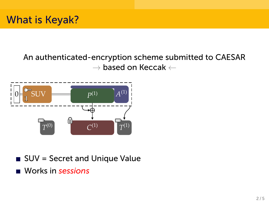



- SUV = Secret and Unique Value
- Works in *sessions*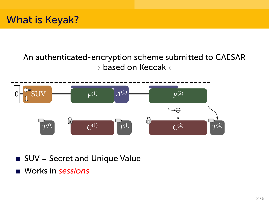



- SUV = Secret and Unique Value
- Works in *sessions*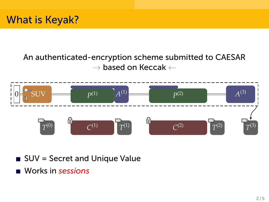



- SUV = Secret and Unique Value
- Works in *sessions*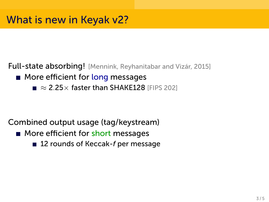Full-state absorbing! [Mennink, Reyhanitabar and Vizár, 2015]

- **More efficient for long messages** 
	- *≈* 2.25*×* faster than SHAKE128 [FIPS 202]

Combined output usage (tag/keystream)

- **More efficient for short messages** 
	- 12 rounds of Keccak-*f* per message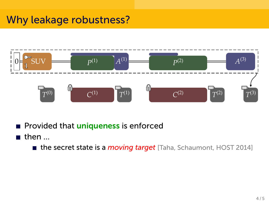# Why leakage robustness?



- Provided that uniqueness is enforced
- $\blacksquare$  then  $\ldots$ 
	- **the secret state is a** *moving target* [Taha, Schaumont, HOST 2014]